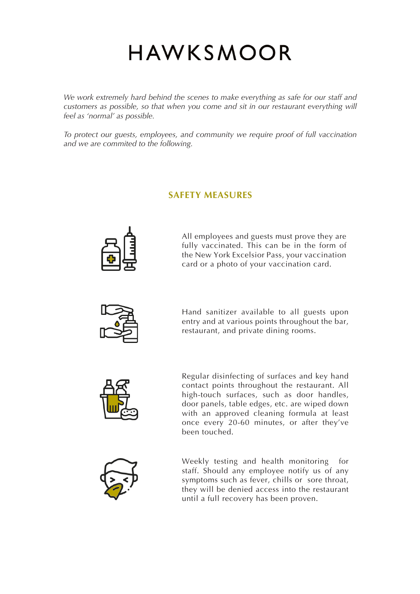## HAWKSMOOR

*We work extremely hard behind the scenes to make everything as safe for our staff and customers as possible, so that when you come and sit in our restaurant everything will feel as 'normal' as possible.* 

*To protect our guests, employees, and community we require proof of full vaccination and we are commited to the following.* 

#### **SAFETY MEASURES**



All employees and guests must prove they are fully vaccinated. This can be in the form of the New York Excelsior Pass, your vaccination card or a photo of your vaccination card.



Hand sanitizer available to all guests upon entry and at various points throughout the bar, restaurant, and private dining rooms.



Regular disinfecting of surfaces and key hand contact points throughout the restaurant. All high-touch surfaces, such as door handles, door panels, table edges, etc. are wiped down with an approved cleaning formula at least once every 20-60 minutes, or after they've been touched.



Weekly testing and health monitoring for staff. Should any employee notify us of any symptoms such as fever, chills or sore throat, they will be denied access into the restaurant until a full recovery has been proven.